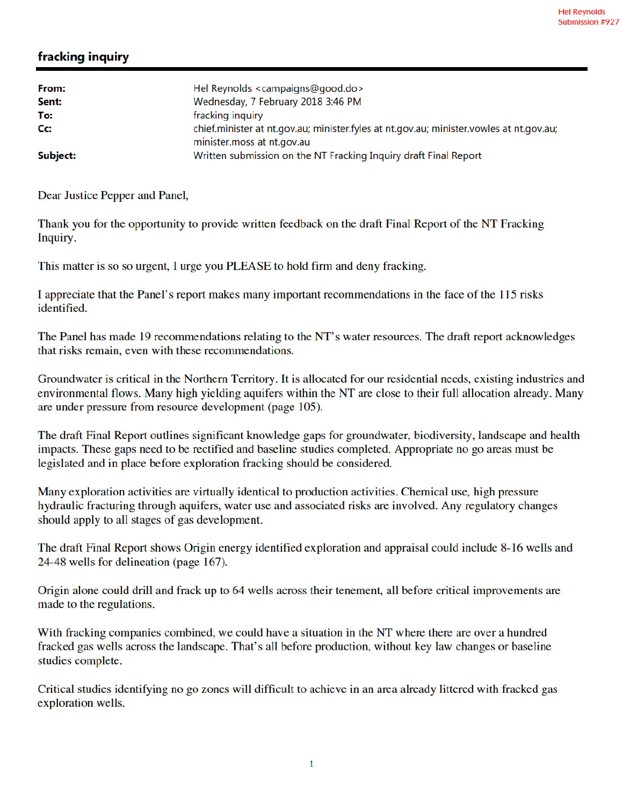## fracking inquiry

| From:    | Hel Reynolds <campaigns@good.do></campaigns@good.do>                                           |
|----------|------------------------------------------------------------------------------------------------|
| Sent:    | Wednesday, 7 February 2018 3:46 PM                                                             |
| To:      | fracking inquiry                                                                               |
| Cc:      | chief.minister at nt.gov.au; minister.fyles at nt.gov.au; minister.vowles at nt.gov.au;        |
| Subject: | minister.moss at nt.gov.au<br>Written submission on the NT Fracking Inquiry draft Final Report |

Dear Justice Pepper and Panel,

Thank you for the opportunity to provide written feedback on the draft Final Report of the NT Fracking Inquiry.

This matter is so so urgent, I urge you PLEASE to hold firm and deny fracking.

I appreciate that the Panel's report makes many important recommendations in the face of the 115 risks identified.

The Panel has made 19 recommendations relating to the NT's water resources. The draft report acknowledges that risks remain, even with these recommendations.

Groundwater is critical in the Northern Territory. It is allocated for our residential needs, existing industries and environmental flows. Many high yielding aquifers within the NT are close to their full allocation already. Many are under pressure from resource development (page 105).

The draft Final Report outlines significant knowledge gaps for groundwater, biodiversity, landscape and health impacts. These gaps need to be rectified and baseline studies completed. Appropriate no go areas must be legislated and in place before exploration fracking should be considered.

Many exploration activities are virtually identical to production activities. Chemical use, high pressure hydraulic fracturing through aquifers, water use and associated risks are involved. Any regulatory changes should apply to all stages of gas development.

The draft Final Report shows Origin energy identified exploration and appraisal could include 8-16 wells and 24-48 wells for delineation (page 167).

Origin alone could drill and frack up to 64 wells across their tenement, all before critical improvements are made to the regulations.

With fracking companies combined, we could have a situation in the NT where there are over a hundred fracked gas wells across the landscape. That's all before production, without key law changes or baseline studies complete.

Critical studies identifying no go zones will difficult to achieve in an area already littered with fracked gas exploration wells.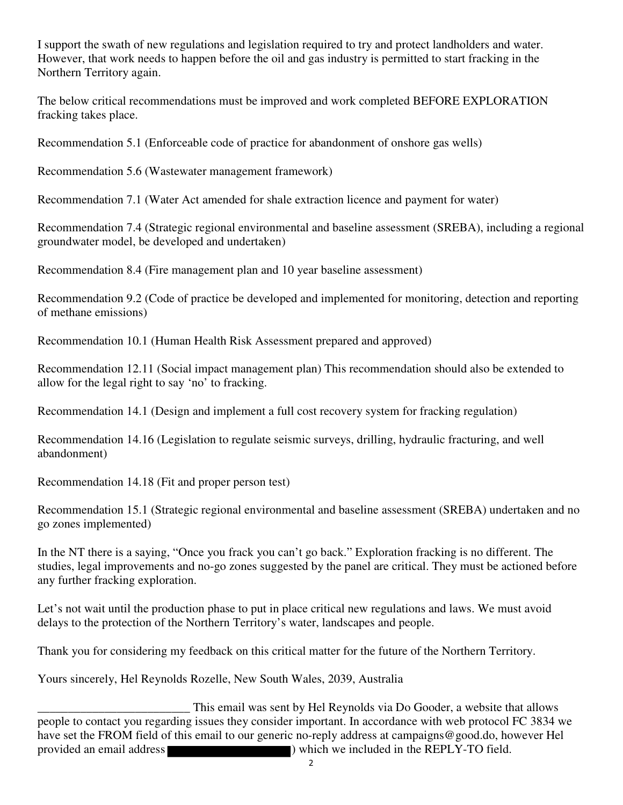I support the swath of new regulations and legislation required to try and protect landholders and water. However, that work needs to happen before the oil and gas industry is permitted to start fracking in the Northern Territory again.

The below critical recommendations must be improved and work completed BEFORE EXPLORATION fracking takes place.

Recommendation 5.1 (Enforceable code of practice for abandonment of onshore gas wells)

Recommendation 5.6 (Wastewater management framework)

Recommendation 7.1 (Water Act amended for shale extraction licence and payment for water)

Recommendation 7.4 (Strategic regional environmental and baseline assessment (SREBA), including a regional groundwater model, be developed and undertaken)

Recommendation 8.4 (Fire management plan and 10 year baseline assessment)

Recommendation 9.2 (Code of practice be developed and implemented for monitoring, detection and reporting of methane emissions)

Recommendation 10.1 (Human Health Risk Assessment prepared and approved)

Recommendation 12.11 (Social impact management plan) This recommendation should also be extended to allow for the legal right to say 'no' to fracking.

Recommendation 14.1 (Design and implement a full cost recovery system for fracking regulation)

Recommendation 14.16 (Legislation to regulate seismic surveys, drilling, hydraulic fracturing, and well abandonment)

Recommendation 14.18 (Fit and proper person test)

Recommendation 15.1 (Strategic regional environmental and baseline assessment (SREBA) undertaken and no go zones implemented)

In the NT there is a saying, "Once you frack you can't go back." Exploration fracking is no different. The studies, legal improvements and no-go zones suggested by the panel are critical. They must be actioned before any further fracking exploration.

Let's not wait until the production phase to put in place critical new regulations and laws. We must avoid delays to the protection of the Northern Territory's water, landscapes and people.

Thank you for considering my feedback on this critical matter for the future of the Northern Territory.

Yours sincerely, Hel Reynolds Rozelle, New South Wales, 2039, Australia

This email was sent by Hel Reynolds via Do Gooder, a website that allows<br>people to contact you regarding issues they consider important. In accordance with web protocol FC 3834 we have set the FROM field of this email to our generic no-reply address at campaigns@good.do, however Hel provided an email address ) which we included in the REPLY-TO field.